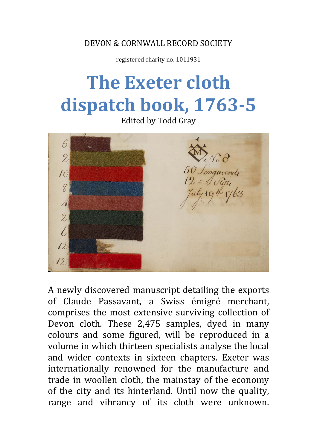DEVON & CORNWALL RECORD SOCIETY

registered charity no. 1011931

# **The Exeter cloth dispatch book, 1763-5**

Edited by Todd Gray



A newly discovered manuscript detailing the exports of Claude Passavant, a Swiss émigré merchant, comprises the most extensive surviving collection of Devon cloth. These 2,475 samples, dyed in many colours and some figured, will be reproduced in a volume in which thirteen specialists analyse the local and wider contexts in sixteen chapters. Exeter was internationally renowned for the manufacture and trade in woollen cloth, the mainstay of the economy of the city and its hinterland. Until now the quality, range and vibrancy of its cloth were unknown.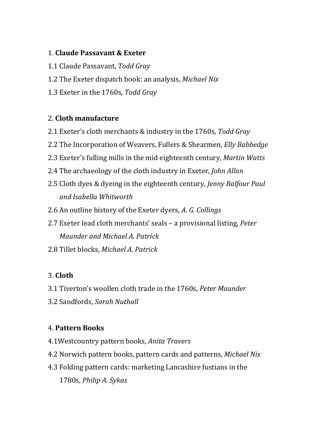#### 1. **Claude Passavant & Exeter**

- 1.1 Claude Passavant, *Todd Gray*
- 1.2 The Exeter dispatch book: an analysis, *Michael Nix*
- 1.3 Exeter in the 1760s, *Todd Gray*

#### 2. **Cloth manufacture**

- 2.1 Exeter's cloth merchants & industry in the 1760s, *Todd Gray*
- 2.2 The Incorporation of Weavers, Fullers & Shearmen, *Elly Babbedge*
- 2.3 Exeter's fulling mills in the mid eighteenth century, *Martin Watts*
- 2.4 The archaeology of the cloth industry in Exeter, *John Allan*
- 2.5 Cloth dyes & dyeing in the eighteenth century, *Jenny Balfour Paul and Isabella Whitworth*
- 2.6 An outline history of the Exeter dyers, *A. G. Collings*
- 2.7 Exeter lead cloth merchants' seals a provisional listing, *Peter Maunder and Michael A. Patrick*
- 2.8 Tillet blocks, *Michael A. Patrick*

## 3. **Cloth**

- 3.1 Tiverton's woollen cloth trade in the 1760s, *Peter Maunder*
- 3.2 Sandfords, *Sarah Nuthall*

### 4. **Pattern Books**

- 4.1Westcountry pattern books*, Anita Travers*
- 4.2 Norwich pattern books, pattern cards and patterns, *Michael Nix*
- 4.3 Folding pattern cards: marketing Lancashire fustians in the 1780s, *Philip A. Sykas*